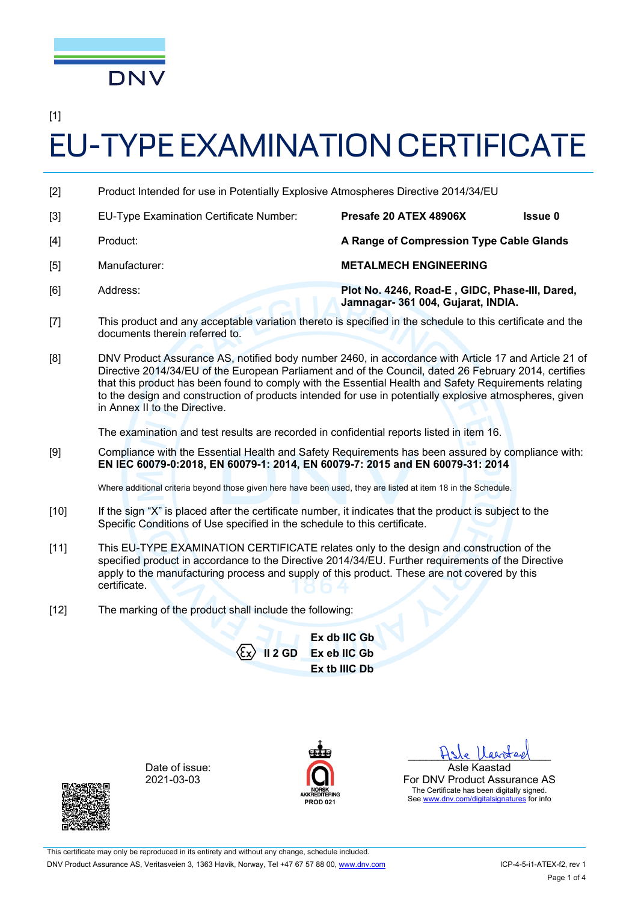

[1]

# EU-TYPE EXAMINATION CERTIFICATE

- [2] Product Intended for use in Potentially Explosive Atmospheres Directive 2014/34/EU
- [3] EU-Type Examination Certificate Number: **Presafe 20 ATEX 48906X Issue 0**  [4] Product: **A Range of Compression Type Cable Glands**  [5] Manufacturer: **METALMECH ENGINEERING**  [6] Address: **Plot No. 4246, Road-E , GIDC, Phase-III, Dared, Jamnagar- 361 004, Gujarat, INDIA.**
- [7] This product and any acceptable variation thereto is specified in the schedule to this certificate and the documents therein referred to.
- [8] DNV Product Assurance AS, notified body number 2460, in accordance with Article 17 and Article 21 of Directive 2014/34/EU of the European Parliament and of the Council, dated 26 February 2014, certifies that this product has been found to comply with the Essential Health and Safety Requirements relating to the design and construction of products intended for use in potentially explosive atmospheres, given in Annex II to the Directive.

The examination and test results are recorded in confidential reports listed in item 16.

[9] Compliance with the Essential Health and Safety Requirements has been assured by compliance with: **EN IEC 60079-0:2018, EN 60079-1: 2014, EN 60079-7: 2015 and EN 60079-31: 2014** 

Where additional criteria beyond those given here have been used, they are listed at item 18 in the Schedule.

- [10] If the sign "X" is placed after the certificate number, it indicates that the product is subject to the Specific Conditions of Use specified in the schedule to this certificate.
- [11] This EU-TYPE EXAMINATION CERTIFICATE relates only to the design and construction of the specified product in accordance to the Directive 2014/34/EU. Further requirements of the Directive apply to the manufacturing process and supply of this product. These are not covered by this certificate.
- [12] The marking of the product shall include the following:

**II 2 GD Ex db IIC Gb Ex eb IIC Gb Ex tb IIIC Db** 

Date of issue: 2021-03-03



Hste Varsteel Asle Kaastad

For DNV Product Assurance AS The Certificate has been digitally signed. See www.dnv.com/digitalsignatures for info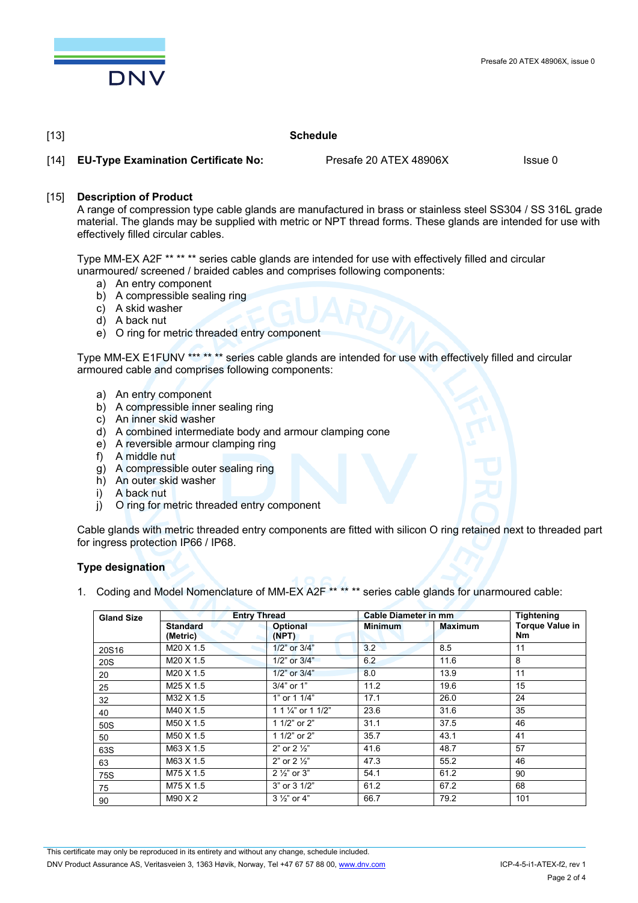

## [13] **Schedule**

[14] **EU-Type Examination Certificate No:** Presafe 20 ATEX 48906X Issue 0

[15] **Description of Product** 

 A range of compression type cable glands are manufactured in brass or stainless steel SS304 / SS 316L grade material. The glands may be supplied with metric or NPT thread forms. These glands are intended for use with effectively filled circular cables.

 Type MM-EX A2F \*\* \*\* \*\* series cable glands are intended for use with effectively filled and circular unarmoured/ screened / braided cables and comprises following components:

- a) An entry component
- b) A compressible sealing ring
- c) A skid washer
- d) A back nut
- e) O ring for metric threaded entry component

 Type MM-EX E1FUNV \*\*\* \*\* \*\* series cable glands are intended for use with effectively filled and circular armoured cable and comprises following components:

- a) An entry component
- b) A compressible inner sealing ring
- c) An inner skid washer
- d) A combined intermediate body and armour clamping cone
- e) A reversible armour clamping ring
- f) A middle nut
- g) A compressible outer sealing ring
- h) An outer skid washer
- i) A back nut
- j) O ring for metric threaded entry component

 Cable glands with metric threaded entry components are fitted with silicon O ring retained next to threaded part for ingress protection IP66 / IP68.

## **Type designation**

1. Coding and Model Nomenclature of MM-EX A2F \*\* \*\* \*\* series cable glands for unarmoured cable:

| <b>Gland Size</b> | <b>Entry Thread</b>         |                          | <b>Cable Diameter in mm</b> |                | Tightening                   |
|-------------------|-----------------------------|--------------------------|-----------------------------|----------------|------------------------------|
|                   | <b>Standard</b><br>(Metric) | <b>Optional</b><br>(NPT) | <b>Minimum</b>              | <b>Maximum</b> | <b>Torque Value in</b><br>Nm |
| 20S16             | M20 X 1.5                   | 1/2" or 3/4"             | 3.2                         | 8.5            | 11                           |
| 20S               | M20 X 1.5                   | 1/2" or 3/4"             | 6.2                         | 11.6           | 8                            |
| 20                | M20 X 1.5                   | 1/2" or 3/4"             | 8.0                         | 13.9           | 11                           |
| 25                | M25 X 1.5                   | $3/4"$ or $1"$           | 11.2                        | 19.6           | 15                           |
| 32                | M32 X 1.5                   | 1" or 1 1/4"             | 17.1                        | 26.0           | 24                           |
| 40                | M40 X 1.5                   | 1 1 1/4" or 1 1/2"       | 23.6                        | 31.6           | 35                           |
| 50S               | M50 X 1.5                   | 1 1/2" or 2"             | 31.1                        | 37.5           | 46                           |
| 50                | M50 X 1.5                   | 1 1/2" or 2"             | 35.7                        | 43.1           | 41                           |
| 63S               | M63 X 1.5                   | 2" or $2\frac{1}{2}$ "   | 41.6                        | 48.7           | 57                           |
| 63                | M63 X 1.5                   | 2" or $2\frac{1}{2}$ "   | 47.3                        | 55.2           | 46                           |
| 75S               | M75 X 1.5                   | $2\frac{1}{2}$ or 3"     | 54.1                        | 61.2           | 90                           |
| 75                | M75 X 1.5                   | 3" or 3 1/2"             | 61.2                        | 67.2           | 68                           |
| 90                | M90 X2                      | $3\frac{1}{2}$ or 4"     | 66.7                        | 79.2           | 101                          |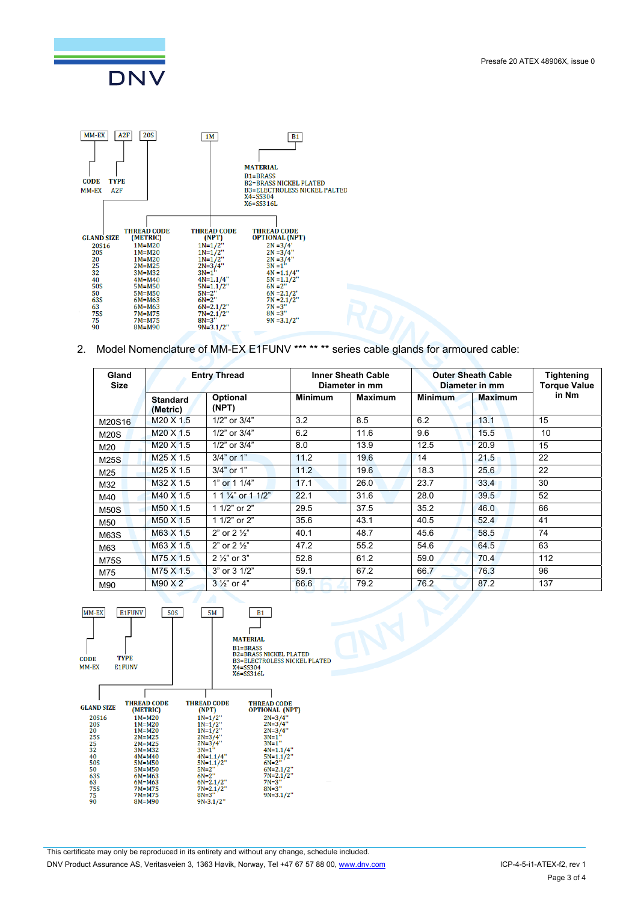



2. Model Nomenclature of MM-EX E1FUNV \*\*\* \*\* \*\* series cable glands for armoured cable:

| Gland<br><b>Size</b> | <b>Entry Thread</b>          |                             | <b>Inner Sheath Cable</b><br>Diameter in mm |                | <b>Outer Sheath Cable</b><br>Diameter in mm |                | <b>Tightening</b><br><b>Torque Value</b> |
|----------------------|------------------------------|-----------------------------|---------------------------------------------|----------------|---------------------------------------------|----------------|------------------------------------------|
|                      | <b>Standard</b><br>(Metric)  | Optional<br>(NPT)           | <b>Minimum</b>                              | <b>Maximum</b> | <b>Minimum</b>                              | <b>Maximum</b> | in Nm                                    |
| M20S16               | M <sub>20</sub> X 1.5        | 1/2" or 3/4"                | 3.2                                         | 8.5            | 6.2                                         | 13.1           | 15                                       |
| <b>M20S</b>          | M20 X 1.5                    | $1/2$ " or $3/4$ "          | 6.2                                         | 11.6           | 9.6                                         | 15.5           | 10                                       |
| M20                  | M <sub>20</sub> X 1.5        | 1/2" or 3/4"                | 8.0                                         | 13.9           | 12.5                                        | 20.9           | 15                                       |
| M25S                 | M <sub>25</sub> $\times$ 1.5 | 3/4" or 1"                  | 11.2                                        | 19.6           | 14                                          | 21.5           | 22                                       |
| M25                  | M <sub>25</sub> X 1.5        | 3/4" or 1"                  | 11.2                                        | 19.6           | 18.3                                        | 25.6           | 22                                       |
| M32                  | M32 X 1.5                    | 1" or 1 1/4"                | 17.1                                        | 26.0           | 23.7                                        | 33.4           | 30                                       |
| M40                  | M40 X 1.5                    | 1 1 $\frac{1}{4}$ or 1 1/2" | 22.1                                        | 31.6           | 28.0                                        | 39.5           | 52                                       |
| <b>M50S</b>          | M50 X 1.5                    | 1 1/2" or 2"                | 29.5                                        | 37.5           | 35.2                                        | 46.0           | 66                                       |
| M50                  | M50 X 1.5                    | 1 1/2" or 2"                | 35.6                                        | 43.1           | 40.5                                        | 52.4           | 41                                       |
| M63S                 | M63 X 1.5                    | 2" or $2\frac{1}{2}$ "      | 40.1                                        | 48.7           | 45.6                                        | 58.5           | 74                                       |
| M63                  | M63 X 1.5                    | 2" or $2\frac{1}{2}$ "      | 47.2                                        | 55.2           | 54.6                                        | 64.5           | 63                                       |
| <b>M75S</b>          | M75 X 1.5                    | $2\frac{1}{2}$ or 3"        | 52.8                                        | 61.2           | 59.0                                        | 70.4           | 112                                      |
| M75                  | M75 X 1.5                    | 3" or 3 1/2"                | 59.1                                        | 67.2           | 66.7                                        | 76.3           | 96                                       |
| M90                  | M90 X 2                      | $3\frac{1}{2}$ or 4"        | 66.6                                        | 79.2           | 76.2                                        | 87.2           | 137                                      |